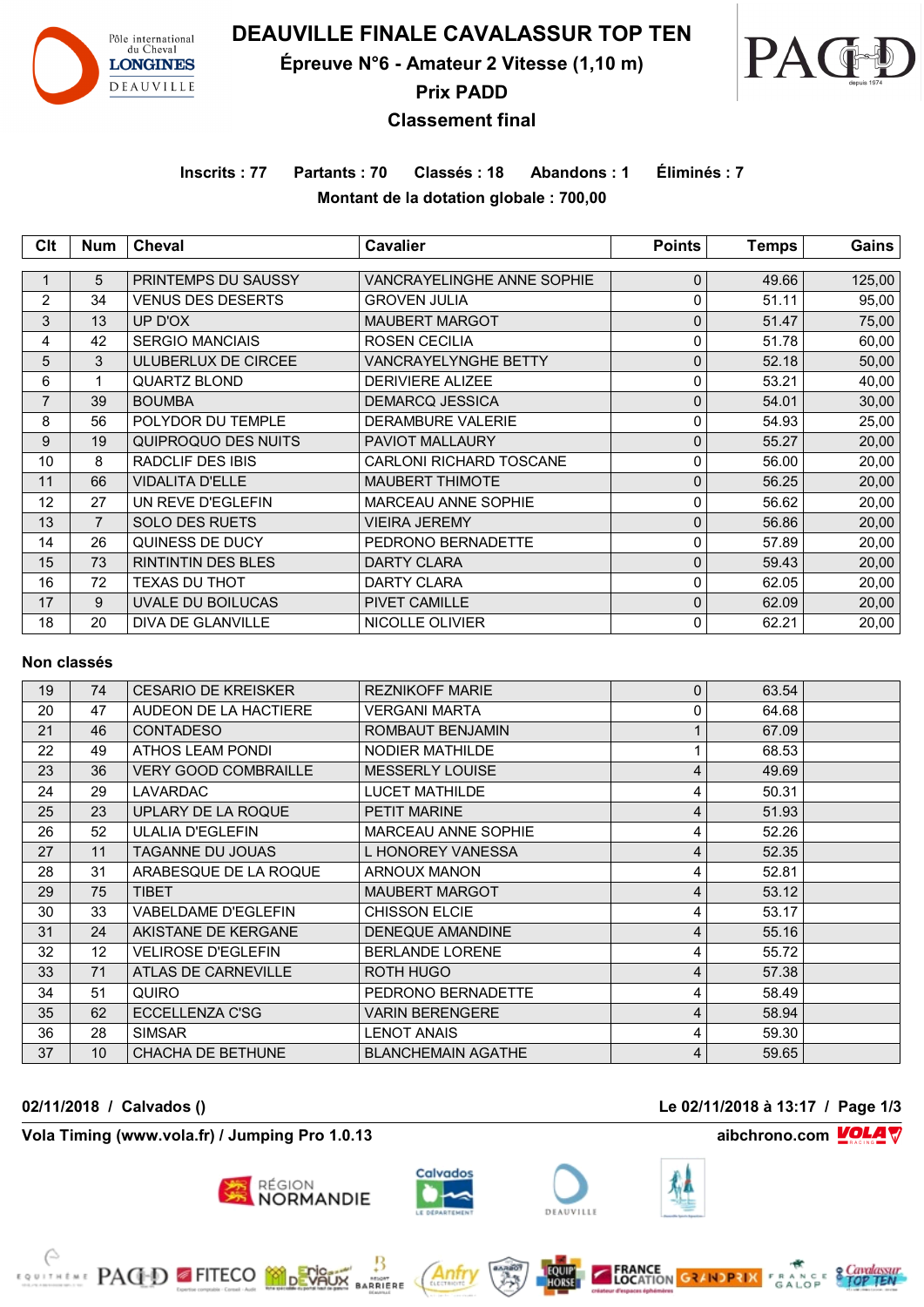

**DEAUVILLE FINALE CAVALASSUR TOP TEN**

**Épreuve N°6 - Amateur 2 Vitesse (1,10 m)**



**Prix PADD**

## **Classement final**

**Inscrits : 77 Partants : 70 Classés : 18 Abandons : 1 Éliminés : 7 Montant de la dotation globale : 700,00**

| Clt            | <b>Num</b>     | <b>Cheval</b>             | Cavalier                       | <b>Points</b> | <b>Temps</b> | Gains  |
|----------------|----------------|---------------------------|--------------------------------|---------------|--------------|--------|
|                |                |                           |                                |               |              |        |
|                | 5              | PRINTEMPS DU SAUSSY       | VANCRAYELINGHE ANNE SOPHIE     | 0             | 49.66        | 125,00 |
| 2              | 34             | <b>VENUS DES DESERTS</b>  | <b>GROVEN JULIA</b>            | 0             | 51.11        | 95,00  |
| 3              | 13             | UP D'OX                   | <b>MAUBERT MARGOT</b>          | $\mathbf 0$   | 51.47        | 75,00  |
| 4              | 42             | <b>SERGIO MANCIAIS</b>    | ROSEN CECILIA                  | 0             | 51.78        | 60,00  |
| 5              | 3              | ULUBERLUX DE CIRCEE       | <b>VANCRAYELYNGHE BETTY</b>    | $\mathbf{0}$  | 52.18        | 50,00  |
| 6              | 1              | <b>QUARTZ BLOND</b>       | <b>DERIVIERE ALIZEE</b>        | 0             | 53.21        | 40,00  |
| $\overline{7}$ | 39             | <b>BOUMBA</b>             | <b>DEMARCQ JESSICA</b>         | $\mathbf 0$   | 54.01        | 30,00  |
| 8              | 56             | POLYDOR DU TEMPLE         | <b>DERAMBURE VALERIE</b>       | 0             | 54.93        | 25,00  |
| 9              | 19             | QUIPROQUO DES NUITS       | <b>PAVIOT MALLAURY</b>         | $\mathbf 0$   | 55.27        | 20,00  |
| 10             | 8              | RADCLIF DES IBIS          | <b>CARLONI RICHARD TOSCANE</b> | 0             | 56.00        | 20,00  |
| 11             | 66             | <b>VIDALITA D'ELLE</b>    | <b>MAUBERT THIMOTE</b>         | $\mathbf 0$   | 56.25        | 20,00  |
| 12             | 27             | UN REVE D'EGLEFIN         | MARCEAU ANNE SOPHIE            | 0             | 56.62        | 20,00  |
| 13             | $\overline{7}$ | <b>SOLO DES RUETS</b>     | <b>VIEIRA JEREMY</b>           | $\mathbf 0$   | 56.86        | 20,00  |
| 14             | 26             | QUINESS DE DUCY           | PEDRONO BERNADETTE             | 0             | 57.89        | 20,00  |
| 15             | 73             | <b>RINTINTIN DES BLES</b> | <b>DARTY CLARA</b>             | $\mathbf 0$   | 59.43        | 20,00  |
| 16             | 72             | <b>TEXAS DU THOT</b>      | <b>DARTY CLARA</b>             | 0             | 62.05        | 20,00  |
| 17             | 9              | UVALE DU BOILUCAS         | PIVET CAMILLE                  | $\mathbf 0$   | 62.09        | 20,00  |
| 18             | 20             | DIVA DE GLANVILLE         | NICOLLE OLIVIER                | 0             | 62.21        | 20,00  |

### **Non classés**

| 19 | 74 | <b>CESARIO DE KREISKER</b>  | <b>REZNIKOFF MARIE</b>    | $\mathbf 0$ | 63.54 |  |
|----|----|-----------------------------|---------------------------|-------------|-------|--|
| 20 | 47 | AUDEON DE LA HACTIERE       | <b>VERGANI MARTA</b>      | $\Omega$    | 64.68 |  |
| 21 | 46 | <b>CONTADESO</b>            | ROMBAUT BENJAMIN          |             | 67.09 |  |
| 22 | 49 | ATHOS LEAM PONDI            | <b>NODIER MATHILDE</b>    |             | 68.53 |  |
| 23 | 36 | <b>VERY GOOD COMBRAILLE</b> | <b>MESSERLY LOUISE</b>    | 4           | 49.69 |  |
| 24 | 29 | <b>LAVARDAC</b>             | <b>LUCET MATHILDE</b>     | 4           | 50.31 |  |
| 25 | 23 | UPLARY DE LA ROQUE          | <b>PETIT MARINE</b>       | 4           | 51.93 |  |
| 26 | 52 | <b>ULALIA D'EGLEFIN</b>     | MARCEAU ANNE SOPHIE       | 4           | 52.26 |  |
| 27 | 11 | <b>TAGANNE DU JOUAS</b>     | L HONOREY VANESSA         | 4           | 52.35 |  |
| 28 | 31 | ARABESQUE DE LA ROQUE       | <b>ARNOUX MANON</b>       | 4           | 52.81 |  |
| 29 | 75 | <b>TIBET</b>                | <b>MAUBERT MARGOT</b>     | 4           | 53.12 |  |
| 30 | 33 | <b>VABELDAME D'EGLEFIN</b>  | <b>CHISSON ELCIE</b>      | 4           | 53.17 |  |
| 31 | 24 | AKISTANE DE KERGANE         | <b>DENEQUE AMANDINE</b>   | 4           | 55.16 |  |
| 32 | 12 | VELIROSE D'EGLEFIN          | <b>BERLANDE LORENE</b>    | 4           | 55.72 |  |
| 33 | 71 | ATLAS DE CARNEVILLE         | ROTH HUGO                 | 4           | 57.38 |  |
| 34 | 51 | <b>QUIRO</b>                | PEDRONO BERNADETTE        | 4           | 58.49 |  |
| 35 | 62 | ECCELLENZA C'SG             | <b>VARIN BERENGERE</b>    | 4           | 58.94 |  |
| 36 | 28 | <b>SIMSAR</b>               | <b>LENOT ANAIS</b>        | 4           | 59.30 |  |
| 37 | 10 | <b>CHACHA DE BETHUNE</b>    | <b>BLANCHEMAIN AGATHE</b> | 4           | 59.65 |  |

**Vola Timing (www.vola.fr) / Jumping Pro 1.0.13 aibchrono.com VOLA** 

**EXAMPLE PAGED FITECO MODEVALIX** 



**RÉGION<br>NORMANDIE** 



**02/11/2018 / Calvados () Le 02/11/2018 à 13:17 / Page 1/3**





MIONT<br>RRIERE





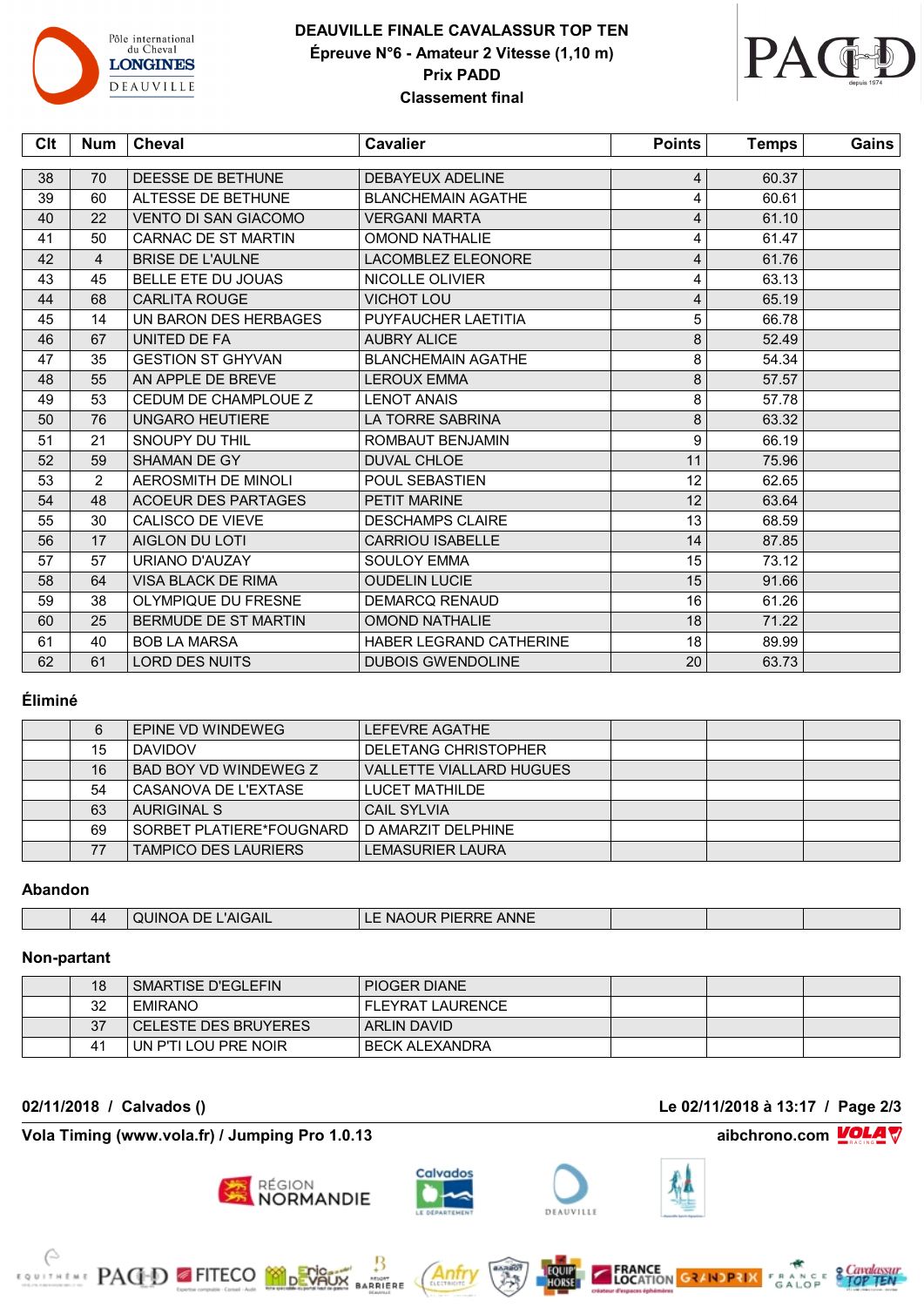

# **DEAUVILLE FINALE CAVALASSUR TOP TEN Épreuve N°6 - Amateur 2 Vitesse (1,10 m) Prix PADD Classement final**



| Clt | Num            | <b>Cheval</b>               | <b>Cavalier</b>                | <b>Points</b> | Temps | Gains |
|-----|----------------|-----------------------------|--------------------------------|---------------|-------|-------|
|     |                |                             |                                |               |       |       |
| 38  | 70             | DEESSE DE BETHUNE           | DEBAYEUX ADELINE               | 4             | 60.37 |       |
| 39  | 60             | ALTESSE DE BETHUNE          | <b>BLANCHEMAIN AGATHE</b>      | 4             | 60.61 |       |
| 40  | 22             | <b>VENTO DI SAN GIACOMO</b> | <b>VERGANI MARTA</b>           | 4             | 61.10 |       |
| 41  | 50             | CARNAC DE ST MARTIN         | <b>OMOND NATHALIE</b>          | 4             | 61.47 |       |
| 42  | $\overline{4}$ | <b>BRISE DE L'AULNE</b>     | <b>LACOMBLEZ ELEONORE</b>      | 4             | 61.76 |       |
| 43  | 45             | <b>BELLE ETE DU JOUAS</b>   | NICOLLE OLIVIER                | 4             | 63.13 |       |
| 44  | 68             | <b>CARLITA ROUGE</b>        | <b>VICHOT LOU</b>              | 4             | 65.19 |       |
| 45  | 14             | UN BARON DES HERBAGES       | PUYFAUCHER LAETITIA            | 5             | 66.78 |       |
| 46  | 67             | UNITED DE FA                | <b>AUBRY ALICE</b>             | 8             | 52.49 |       |
| 47  | 35             | <b>GESTION ST GHYVAN</b>    | <b>BLANCHEMAIN AGATHE</b>      | 8             | 54.34 |       |
| 48  | 55             | AN APPLE DE BREVE           | <b>LEROUX EMMA</b>             | 8             | 57.57 |       |
| 49  | 53             | CEDUM DE CHAMPLOUE Z        | <b>LENOT ANAIS</b>             | 8             | 57.78 |       |
| 50  | 76             | <b>UNGARO HEUTIERE</b>      | LA TORRE SABRINA               | 8             | 63.32 |       |
| 51  | 21             | SNOUPY DU THIL              | ROMBAUT BENJAMIN               | 9             | 66.19 |       |
| 52  | 59             | SHAMAN DE GY                | <b>DUVAL CHLOE</b>             | 11            | 75.96 |       |
| 53  | $\overline{2}$ | <b>AEROSMITH DE MINOLI</b>  | POUL SEBASTIEN                 | 12            | 62.65 |       |
| 54  | 48             | <b>ACOEUR DES PARTAGES</b>  | <b>PETIT MARINE</b>            | 12            | 63.64 |       |
| 55  | 30             | CALISCO DE VIEVE            | <b>DESCHAMPS CLAIRE</b>        | 13            | 68.59 |       |
| 56  | 17             | AIGLON DU LOTI              | <b>CARRIOU ISABELLE</b>        | 14            | 87.85 |       |
| 57  | 57             | URIANO D'AUZAY              | <b>SOULOY EMMA</b>             | 15            | 73.12 |       |
| 58  | 64             | <b>VISA BLACK DE RIMA</b>   | <b>OUDELIN LUCIE</b>           | 15            | 91.66 |       |
| 59  | 38             | OLYMPIQUE DU FRESNE         | <b>DEMARCQ RENAUD</b>          | 16            | 61.26 |       |
| 60  | 25             | BERMUDE DE ST MARTIN        | <b>OMOND NATHALIE</b>          | 18            | 71.22 |       |
| 61  | 40             | <b>BOB LA MARSA</b>         | <b>HABER LEGRAND CATHERINE</b> | 18            | 89.99 |       |
| 62  | 61             | <b>LORD DES NUITS</b>       | <b>DUBOIS GWENDOLINE</b>       | 20            | 63.73 |       |
|     |                |                             |                                |               |       |       |

### **Éliminé**

| 6  | EPINE VD WINDEWEG           | LEFEVRE AGATHE                  |  |  |
|----|-----------------------------|---------------------------------|--|--|
| 15 | <b>DAVIDOV</b>              | DELETANG CHRISTOPHER            |  |  |
| 16 | BAD BOY VD WINDEWEG Z       | <b>VALLETTE VIALLARD HUGUES</b> |  |  |
| 54 | CASANOVA DE L'EXTASE        | LUCET MATHILDE                  |  |  |
| 63 | <b>AURIGINAL S</b>          | <b>CAIL SYLVIA</b>              |  |  |
| 69 | SORBET PLATIERE*FOUGNARD    | l D AMARZIT DELPHINE            |  |  |
| 77 | <b>TAMPICO DES LAURIERS</b> | <b>LEMASURIER LAURA</b>         |  |  |

#### **Abandon**

| 44 | $\overline{\phantom{a}}$ $\overline{\phantom{a}}$ $\overline{\phantom{a}}$ $\overline{\phantom{a}}$ $\overline{\phantom{a}}$ $\overline{\phantom{a}}$ $\overline{\phantom{a}}$ $\overline{\phantom{a}}$ $\overline{\phantom{a}}$ $\overline{\phantom{a}}$ $\overline{\phantom{a}}$ $\overline{\phantom{a}}$ $\overline{\phantom{a}}$ $\overline{\phantom{a}}$ $\overline{\phantom{a}}$ $\overline{\phantom{a}}$ $\overline{\phantom{a}}$ $\overline{\phantom{a}}$ $\overline{\$<br>$\mathbf{v}$ | <b>ANNE</b><br>----<br>DIE<br>பபட<br>NI.<br>.<br>ILNNL |  |  |
|----|-------------------------------------------------------------------------------------------------------------------------------------------------------------------------------------------------------------------------------------------------------------------------------------------------------------------------------------------------------------------------------------------------------------------------------------------------------------------------------------------------|--------------------------------------------------------|--|--|
|    |                                                                                                                                                                                                                                                                                                                                                                                                                                                                                                 |                                                        |  |  |

### **Non-partant**

| 18             | SMARTISE D'EGLEFIN   | PIOGER DIANE     |  |  |
|----------------|----------------------|------------------|--|--|
| 32             | <b>EMIRANO</b>       | FLEYRAT LAURENCE |  |  |
| 37             | CELESTE DES BRUYERES | ARLIN DAVID      |  |  |
| 4 <sup>1</sup> | UN P'TI LOU PRE NOIR | BECK ALEXANDRA   |  |  |

**Vola Timing (www.vola.fr) / Jumping Pro 1.0.13 aibchrono.com VOLA** 

RACED FITECO MONTAGE

**02/11/2018 / Calvados () Le 02/11/2018 à 13:17 / Page 2/3**





Anti

**MIGHT**<br>ARRIERE